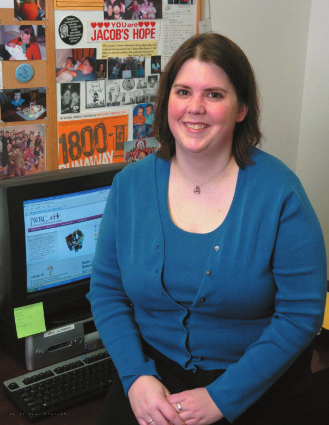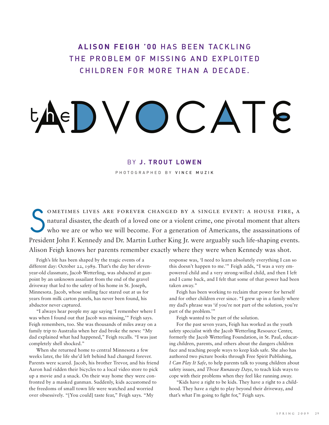**AL I SO N FEIGH ' 0 0** HAS BEE N TACKL I N G THE PROBLEM OF MISSING AND EXPLOITED CHILDREN FOR MORE THAN A DECADE.

# ADVOCATE  $t$  he

# BY **J . TROUT LOW E N**

P H O T O G R A P H E D B Y V IN C E M U Z I K

S ometimes lives are forever changed by a single event: a house fire, a natural disaster, the death of a loved one or a violent crime, one pivotal moment that alters who we are or who we will become. For a generation of Americans, the assassinations of President John F. Kennedy and Dr. Martin Luther King Jr. were arguably such life-shaping events. Alison Feigh knows her parents remember exactly where they were when Kennedy was shot.

Feigh's life has been shaped by the tragic events of a different day: October 22, 1989. That's the day her elevenyear-old classmate, Jacob Wetterling, was abducted at gunpoint by an unknown assailant from the end of the gravel driveway that led to the safety of his home in St. Joseph, Minnesota. Jacob, whose smiling face stared out at us for years from milk carton panels, has never been found, his abductor never captured.

"I always hear people my age saying 'I remember where I was when I found out that Jacob was missing,'" Feigh says. Feigh remembers, too. She was thousands of miles away on a family trip to Australia when her dad broke the news: "My dad explained what had happened," Feigh recalls. "I was just completely shell shocked."

When she returned home to central Minnesota a few weeks later, the life she'd left behind had changed forever. Parents were scared. Jacob, his brother Trevor, and his friend Aaron had ridden their bicycles to a local video store to pick up a movie and a snack. On their way home they were confronted by a masked gunman. Suddenly, kids accustomed to the freedoms of small town life were watched and worried over obsessively. "[You could] taste fear," Feigh says. "My

response was, 'I need to learn absolutely everything I can so this doesn't happen to me.'" Feigh adds, "I was a very empowered child and a very strong-willed child, and then I left and I came back, and I felt that some of that power had been taken away."

Feigh has been working to reclaim that power for herself and for other children ever since. "I grew up in a family where my dad's phrase was 'if you're not part of the solution, you're part of the problem.'"

Feigh wanted to be part of the solution.

For the past seven years, Feigh has worked as the youth safety specialist with the Jacob Wetterling Resource Center, formerly the Jacob Wetterling Foundation, in St. Paul, educating children, parents, and others about the dangers children face and teaching people ways to keep kids safe. She also has authored two picture books through Free Spirit Publishing, *I Can Play It Safe*, to help parents talk to young children about safety issues, and *Those Runaway Days*, to teach kids ways to cope with their problems when they feel like running away.

"Kids have a right to be kids. They have a right to a childhood. They have a right to play beyond their driveway, and that's what I'm going to fight for," Feigh says.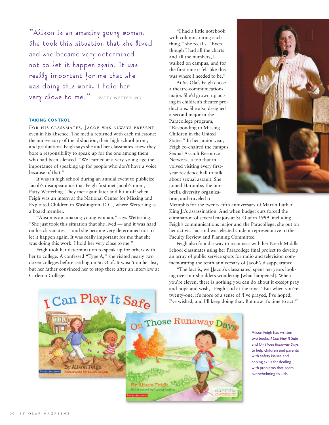"Alison is an amazing young woman. She took this situation that she lived and she became very determined not to let it happen again. It was really important for me that she was doing this work. I hold her very close to me." - PATTY WETTERLING

## **TAKING CONTROL**

FOR HIS CLASSMATES, JACOB WAS ALWAYS PRESENT even in his absence. The media returned with each milestone: the anniversary of the abduction, their high school prom, and graduation. Feigh says she and her classmates knew they bore a responsibility to speak up for the one among them who had been silenced. "We learned at a very young age the importance of speaking up for people who don't have a voice because of that."

It was in high school during an annual event to publicize Jacob's disappearance that Feigh first met Jacob's mom, Patty Wetterling. They met again later and hit it off when Feigh was an intern at the National Center for Missing and Exploited Children in Washington, D.C., where Wetterling is a board member.

"Alison is an amazing young woman," says Wetterling. "She just took this situation that she lived — and it was hard on his classmates — and she became very determined not to let it happen again. It was really important for me that she was doing this work. I hold her very close to me."

Feigh took her determination to speak up for others with her to college. A confessed "Type A," she visited nearly two dozen colleges before settling on St. Olaf. It wasn't on her list, but her father convinced her to stop there after an interview at Carleton College.

"I had a little notebook with columns rating each thing," she recalls. "Even though I had all the charts and all the numbers, I walked on campus, and for the first time it felt like this was where I needed to be."

At St. Olaf, Feigh chose a theatre-communications major. She'd grown up acting in children's theater productions. She also designed a second major in the Paracollege program, "Responding to Missing Children in the United States." In her junior year, Feigh co-chaired the campus Sexual Assault Resource Network, a job that involved visiting every firstyear residence hall to talk about sexual assault. She joined Harambe, the umbrella diversity organization, and traveled to



Memphis for the twenty-fifth anniversary of Martin Luther King Jr.'s assassination. And when budget cuts forced the elimination of several majors at St. Olaf in 1999, including Feigh's communications major and the Paracollege, she put on her activist hat and was elected student representative to the Faculty Review and Planning Committee.

Feigh also found a way to reconnect with her North Middle School classmates using her Paracollege final project to develop an array of public service spots for radio and television commemorating the tenth anniversary of Jacob's disappearance.

"The fact is, we [Jacob's classmates] spent ten years looking over our shoulders wondering [what happened]. When you're eleven, there is nothing you can do about it except pray and hope and wish," Feigh said at the time. "But when you're twenty-one, it's more of a sense of 'I've prayed, I've hoped, I've wished, and I'll keep doing that. But now it's time to act.'"



Alison Feigh has written two books, *I Can Play It Safe* and *On Those Runaway Days,* to help children and parents with safety issues and coping skills for dealing with problems that seem overwhelming to kids.